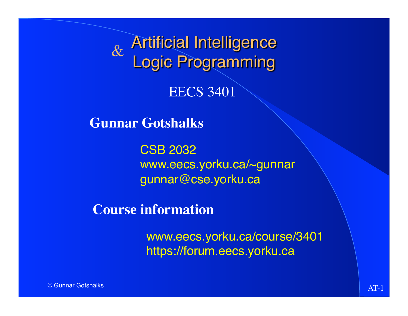Artificial Intelligence Logic Programming  $\&$ 

EECS 3401

**Gunnar Gotshalks**

CSB 2032 www.eecs.yorku.ca/~gunnar gunnar@cse.yorku.ca

**Course information**

www.eecs.yorku.ca/course/3401 https://forum.eecs.yorku.ca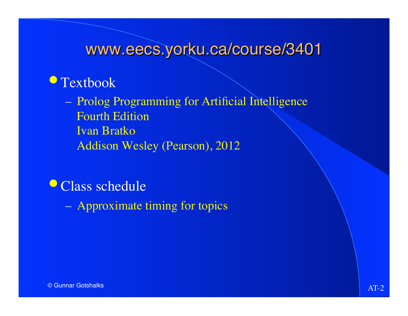## • Textbook

– Prolog Programming for Artificial Intelligence Fourth Edition Ivan Bratko Addison Wesley (Pearson), 2012

• Class schedule

– Approximate timing for topics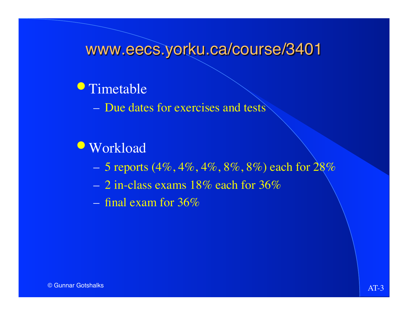## **•**Timetable

– Due dates for exercises and tests

## **•Workload**

- 5 reports  $(4\%, 4\%, 4\%, 8\%, 8\%)$  each for  $28\%$
- $-2$  in-class exams 18% each for 36%
- final exam for 36%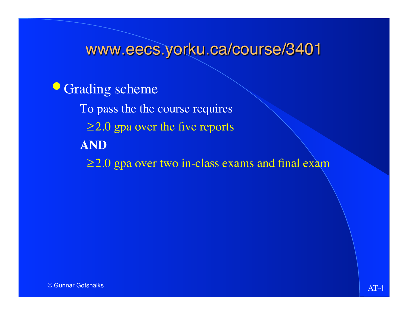**• Grading scheme** To pass the the course requires ≥2.0 gpa over the five reports **AND** ≥2.0 gpa over two in-class exams and final exam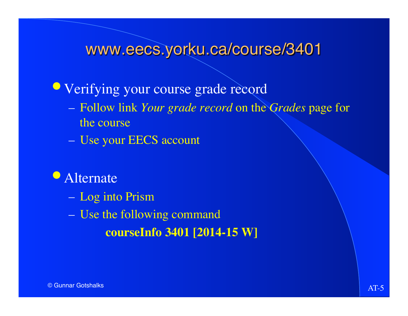**•Verifying your course grade record** 

- Follow link *Your grade record* on the *Grades* page for the course
- Use your EECS account

### **•** Alternate

- Log into Prism
- Use the following command **courseInfo 3401 [2014-15 W]**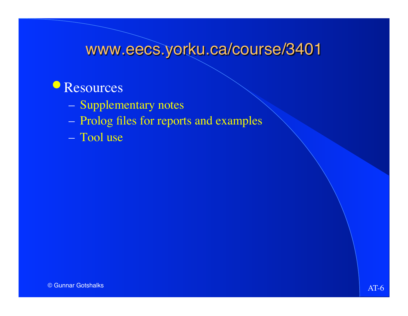## Resources

- Supplementary notes
- Prolog files for reports and examples
- Tool use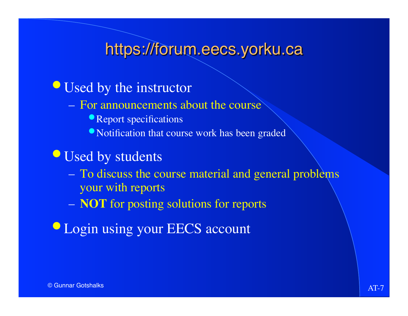# https://forum.eecs.yorku.ca

- Used by the instructor
	- For announcements about the course
		- Report specifications
		- •Notification that course work has been graded
- •Used by students
	- To discuss the course material and general problems your with reports
	- **NOT** for posting solutions for reports
- **Login using your EECS account**